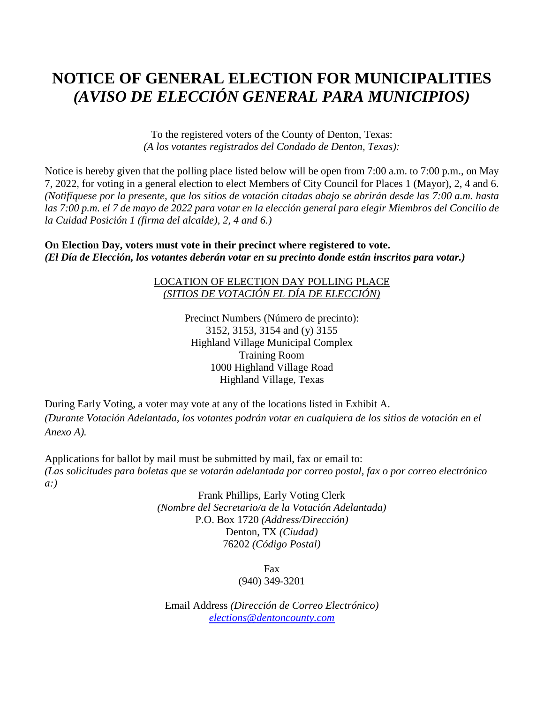## **NOTICE OF GENERAL ELECTION FOR MUNICIPALITIES** *(AVISO DE ELECCIÓN GENERAL PARA MUNICIPIOS)*

To the registered voters of the County of Denton, Texas: *(A los votantes registrados del Condado de Denton, Texas):*

Notice is hereby given that the polling place listed below will be open from 7:00 a.m. to 7:00 p.m., on May 7, 2022, for voting in a general election to elect Members of City Council for Places 1 (Mayor), 2, 4 and 6. *(Notifíquese por la presente, que los sitios de votación citadas abajo se abrirán desde las 7:00 a.m. hasta las 7:00 p.m. el 7 de mayo de 2022 para votar en la elección general para elegir Miembros del Concilio de la Cuidad Posición 1 (firma del alcalde), 2, 4 and 6.)*

**On Election Day, voters must vote in their precinct where registered to vote.** *(El Día de Elección, los votantes deberán votar en su precinto donde están inscritos para votar.)*

## LOCATION OF ELECTION DAY POLLING PLACE *(SITIOS DE VOTACIÓN EL DÍA DE ELECCIÓN)*

Precinct Numbers (Número de precinto): 3152, 3153, 3154 and (y) 3155 Highland Village Municipal Complex Training Room 1000 Highland Village Road Highland Village, Texas

During Early Voting, a voter may vote at any of the locations listed in Exhibit A. *(Durante Votación Adelantada, los votantes podrán votar en cualquiera de los sitios de votación en el Anexo A).*

Applications for ballot by mail must be submitted by mail, fax or email to: *(Las solicitudes para boletas que se votarán adelantada por correo postal, fax o por correo electrónico a:)*

> Frank Phillips, Early Voting Clerk *(Nombre del Secretario/a de la Votación Adelantada)* P.O. Box 1720 *(Address/Dirección)* Denton, TX *(Ciudad)* 76202 *(Código Postal)*

> > Fax (940) 349-3201

Email Address *(Dirección de Correo Electrónico) [elections@dentoncounty.com](mailto:elections@dentoncounty.com)*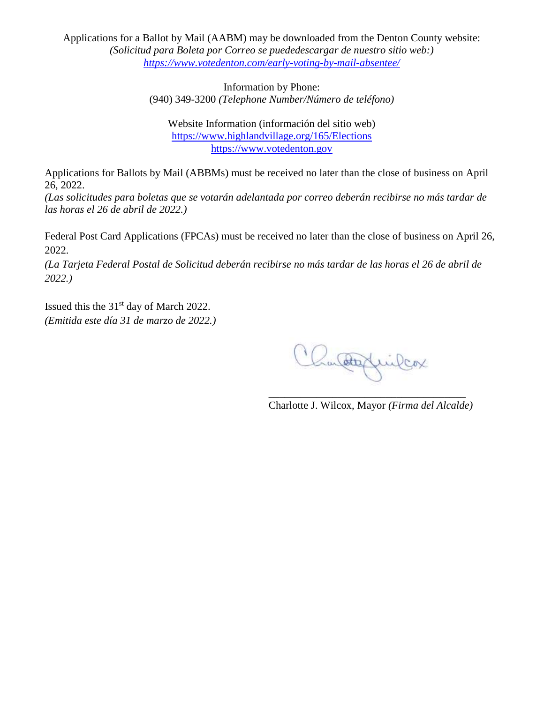Applications for a Ballot by Mail (AABM) may be downloaded from the Denton County website: *(Solicitud para Boleta por Correo se puededescargar de nuestro sitio web:) <https://www.votedenton.com/early-voting-by-mail-absentee/>*

> Information by Phone: (940) 349-3200 *(Telephone Number/Número de teléfono)*

Website Information (información del sitio web) <https://www.highlandvillage.org/165/Elections> [https://www.votedenton.gov](https://www.votedenton.gov/)

Applications for Ballots by Mail (ABBMs) must be received no later than the close of business on April 26, 2022.

*(Las solicitudes para boletas que se votarán adelantada por correo deberán recibirse no más tardar de las horas el 26 de abril de 2022.)*

Federal Post Card Applications (FPCAs) must be received no later than the close of business on April 26, 2022.

*(La Tarjeta Federal Postal de Solicitud deberán recibirse no más tardar de las horas el 26 de abril de 2022.)*

Issued this the 31<sup>st</sup> day of March 2022. *(Emitida este día 31 de marzo de 2022.)*

Chanderfruiler

\_\_\_\_\_\_\_\_\_\_\_\_\_\_\_\_\_\_\_\_\_\_\_\_\_\_\_\_\_\_\_\_\_\_\_\_\_ Charlotte J. Wilcox, Mayor *(Firma del Alcalde)*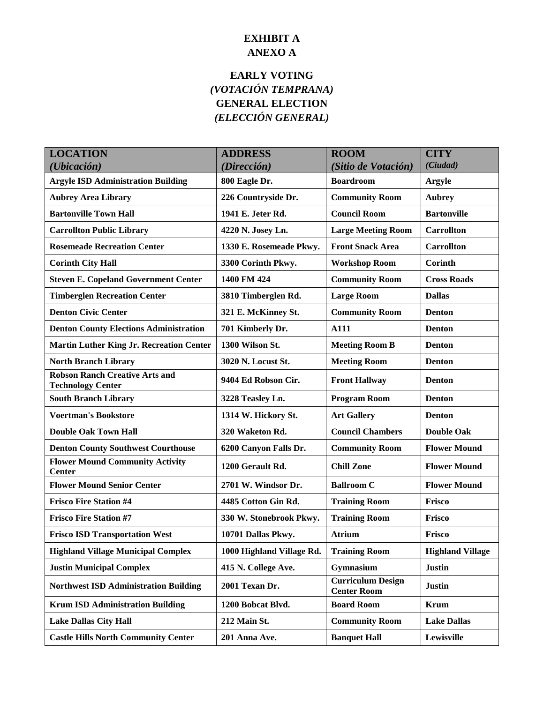## **EXHIBIT A ANEXO A**

## **EARLY VOTING** *(VOTACIÓN TEMPRANA)* **GENERAL ELECTION** *(ELECCIÓN GENERAL)*

| <b>LOCATION</b>                                                   | <b>ADDRESS</b>            | <b>ROOM</b>                                    | <b>CITY</b>             |
|-------------------------------------------------------------------|---------------------------|------------------------------------------------|-------------------------|
| (Ubicación)                                                       | (Dirección)               | (Sitio de Votación)                            | (Ciudad)                |
| <b>Argyle ISD Administration Building</b>                         | 800 Eagle Dr.             | <b>Boardroom</b>                               | <b>Argyle</b>           |
| <b>Aubrey Area Library</b>                                        | 226 Countryside Dr.       | <b>Community Room</b>                          | <b>Aubrey</b>           |
| <b>Bartonville Town Hall</b>                                      | 1941 E. Jeter Rd.         | <b>Council Room</b>                            | <b>Bartonville</b>      |
| <b>Carrollton Public Library</b>                                  | 4220 N. Josey Ln.         | <b>Large Meeting Room</b>                      | <b>Carrollton</b>       |
| <b>Rosemeade Recreation Center</b>                                | 1330 E. Rosemeade Pkwy.   | <b>Front Snack Area</b>                        | <b>Carrollton</b>       |
| <b>Corinth City Hall</b>                                          | 3300 Corinth Pkwy.        | <b>Workshop Room</b>                           | Corinth                 |
| <b>Steven E. Copeland Government Center</b>                       | 1400 FM 424               | <b>Community Room</b>                          | <b>Cross Roads</b>      |
| <b>Timberglen Recreation Center</b>                               | 3810 Timberglen Rd.       | <b>Large Room</b>                              | <b>Dallas</b>           |
| <b>Denton Civic Center</b>                                        | 321 E. McKinney St.       | <b>Community Room</b>                          | <b>Denton</b>           |
| <b>Denton County Elections Administration</b>                     | 701 Kimberly Dr.          | A111                                           | <b>Denton</b>           |
| <b>Martin Luther King Jr. Recreation Center</b>                   | 1300 Wilson St.           | <b>Meeting Room B</b>                          | <b>Denton</b>           |
| <b>North Branch Library</b>                                       | 3020 N. Locust St.        | <b>Meeting Room</b>                            | <b>Denton</b>           |
| <b>Robson Ranch Creative Arts and</b><br><b>Technology Center</b> | 9404 Ed Robson Cir.       | <b>Front Hallway</b>                           | <b>Denton</b>           |
| <b>South Branch Library</b>                                       | 3228 Teasley Ln.          | <b>Program Room</b>                            | <b>Denton</b>           |
| <b>Voertman's Bookstore</b>                                       | 1314 W. Hickory St.       | <b>Art Gallery</b>                             | <b>Denton</b>           |
| <b>Double Oak Town Hall</b>                                       | 320 Waketon Rd.           | <b>Council Chambers</b>                        | <b>Double Oak</b>       |
| <b>Denton County Southwest Courthouse</b>                         | 6200 Canyon Falls Dr.     | <b>Community Room</b>                          | <b>Flower Mound</b>     |
| <b>Flower Mound Community Activity</b><br><b>Center</b>           | 1200 Gerault Rd.          | <b>Chill Zone</b>                              | <b>Flower Mound</b>     |
| <b>Flower Mound Senior Center</b>                                 | 2701 W. Windsor Dr.       | <b>Ballroom C</b>                              | <b>Flower Mound</b>     |
| <b>Frisco Fire Station #4</b>                                     | 4485 Cotton Gin Rd.       | <b>Training Room</b>                           | Frisco                  |
| <b>Frisco Fire Station #7</b>                                     | 330 W. Stonebrook Pkwy.   | <b>Training Room</b>                           | Frisco                  |
| <b>Frisco ISD Transportation West</b>                             | 10701 Dallas Pkwy.        | <b>Atrium</b>                                  | Frisco                  |
| <b>Highland Village Municipal Complex</b>                         | 1000 Highland Village Rd. | <b>Training Room</b>                           | <b>Highland Village</b> |
| <b>Justin Municipal Complex</b>                                   | 415 N. College Ave.       | Gymnasium                                      | <b>Justin</b>           |
| <b>Northwest ISD Administration Building</b>                      | 2001 Texan Dr.            | <b>Curriculum Design</b><br><b>Center Room</b> | <b>Justin</b>           |
| <b>Krum ISD Administration Building</b>                           | 1200 Bobcat Blvd.         | <b>Board Room</b>                              | <b>Krum</b>             |
| <b>Lake Dallas City Hall</b>                                      | 212 Main St.              | <b>Community Room</b>                          | <b>Lake Dallas</b>      |
| <b>Castle Hills North Community Center</b>                        | 201 Anna Ave.             | <b>Banquet Hall</b>                            | Lewisville              |